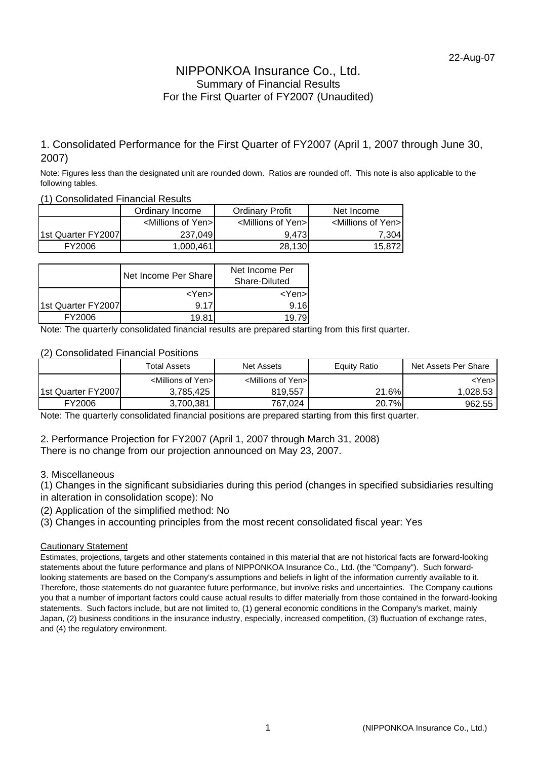### NIPPONKOA Insurance Co., Ltd. Summary of Financial Results For the First Quarter of FY2007 (Unaudited)

### 1. Consolidated Performance for the First Quarter of FY2007 (April 1, 2007 through June 30, 2007)

Note: Figures less than the designated unit are rounded down. Ratios are rounded off. This note is also applicable to the following tables.

(1) Consolidated Financial Results

|                    | Ordinary Income                     | <b>Ordinary Profit</b>              |                                     |
|--------------------|-------------------------------------|-------------------------------------|-------------------------------------|
|                    | <millions of="" yen="">I</millions> | <millions of="" yen="">I</millions> | <millions of="" yen="">I</millions> |
| 1st Quarter FY2007 | 237.049                             | 9.473                               | 7.3041                              |
| FY2006             | 1.000.461                           | 28,130                              | 15,8721                             |

|                    | Net Income Per Share | Net Income Per<br>Share-Diluted |  |  |
|--------------------|----------------------|---------------------------------|--|--|
|                    | $<$ Yen $>$          | <yen>l</yen>                    |  |  |
| 1st Quarter FY2007 | 9 1 7                | 9.16                            |  |  |
| FY2006             | 19.81                |                                 |  |  |

Note: The quarterly consolidated financial results are prepared starting from this first quarter.

(2) Consolidated Financial Positions

|                    | <b>Total Assets</b>                 | <b>Net Assets</b>                  | <b>Equity Ratio</b> | Net Assets Per Share |
|--------------------|-------------------------------------|------------------------------------|---------------------|----------------------|
|                    | <millions of="" yen="">I</millions> | <millions of="" yen=""></millions> |                     | <yen>l</yen>         |
| 1st Quarter FY2007 | 3.785.425                           | 819.557                            | 21.6%               | 1.028.53             |
| FY2006             | 3,700,381                           | 767,024                            | 20.7%               | 962.55               |

Note: The quarterly consolidated financial positions are prepared starting from this first quarter.

2. Performance Projection for FY2007 (April 1, 2007 through March 31, 2008)

There is no change from our projection announced on May 23, 2007.

3. Miscellaneous

(1) Changes in the significant subsidiaries during this period (changes in specified subsidiaries resulting in alteration in consolidation scope): No

(2) Application of the simplified method: No

(3) Changes in accounting principles from the most recent consolidated fiscal year: Yes

#### Cautionary Statement

Estimates, projections, targets and other statements contained in this material that are not historical facts are forward-looking statements about the future performance and plans of NIPPONKOA Insurance Co., Ltd. (the "Company"). Such forwardlooking statements are based on the Company's assumptions and beliefs in light of the information currently available to it. Therefore, those statements do not guarantee future performance, but involve risks and uncertainties. The Company cautions you that a number of important factors could cause actual results to differ materially from those contained in the forward-looking statements. Such factors include, but are not limited to, (1) general economic conditions in the Company's market, mainly Japan, (2) business conditions in the insurance industry, especially, increased competition, (3) fluctuation of exchange rates, and (4) the regulatory environment.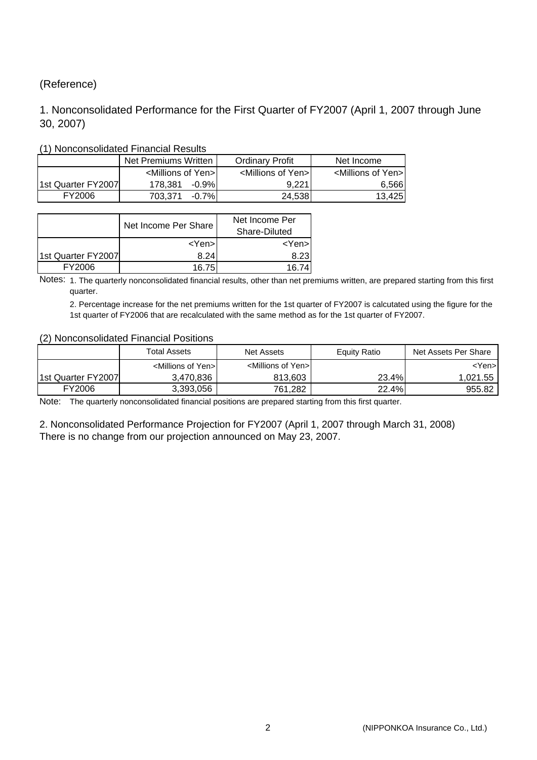### (Reference)

### 1. Nonconsolidated Performance for the First Quarter of FY2007 (April 1, 2007 through June 30, 2007)

|                    | Net Premiums Written                | <b>Ordinary Profit</b>              | Net Income                          |
|--------------------|-------------------------------------|-------------------------------------|-------------------------------------|
|                    | <millions of="" yen="">I</millions> | <millions of="" yen="">I</millions> | <millions of="" yen="">I</millions> |
| 1st Quarter FY2007 | 178.381<br>-0.9%L                   | 9.221                               | 6,566                               |
| FY2006             | $-0.7%$<br>703.371                  | 24,538                              | 13,425                              |

### (1) Nonconsolidated Financial Results

|                    | Net Income Per Share | Net Income Per<br>Share-Diluted |
|--------------------|----------------------|---------------------------------|
|                    | $<$ Yen $>$          | <yen></yen>                     |
| 1st Quarter FY2007 | 8.24                 | 8.23                            |
| FY2006             | 16.75                | 16.74                           |

Notes: 1. The quarterly nonconsolidated financial results, other than net premiums written, are prepared starting from this first quarter.

2. Percentage increase for the net premiums written for the 1st quarter of FY2007 is calcutated using the figure for the 1st quarter of FY2006 that are recalculated with the same method as for the 1st quarter of FY2007.

#### (2) Nonconsolidated Financial Positions

|                    | <b>Total Assets</b>                 | Net Assets                          | Equity Ratio | Net Assets Per Share |
|--------------------|-------------------------------------|-------------------------------------|--------------|----------------------|
|                    | <millions of="" yen="">I</millions> | <millions of="" yen="">I</millions> |              | ≺Yen>l               |
| 1st Quarter FY2007 | 3,470,836                           | 813,603                             | 23.4%        | 1,021.55             |
| FY2006             | 3,393,056                           | 761,282                             | 22.4%        | 955.82               |

Note: The quarterly nonconsolidated financial positions are prepared starting from this first quarter.

2. Nonconsolidated Performance Projection for FY2007 (April 1, 2007 through March 31, 2008) There is no change from our projection announced on May 23, 2007.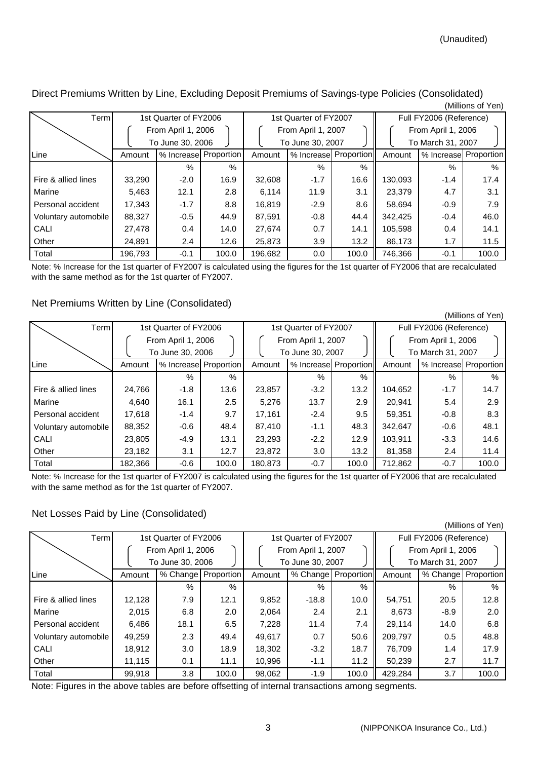Direct Premiums Written by Line, Excluding Deposit Premiums of Savings-type Policies (Consolidated) (Millions of Yen)

| Term                 | 1st Quarter of FY2006                  |               |                       | 1st Quarter of FY2007 |                                        |               | Full FY2006 (Reference) |                                         |                       |  |
|----------------------|----------------------------------------|---------------|-----------------------|-----------------------|----------------------------------------|---------------|-------------------------|-----------------------------------------|-----------------------|--|
|                      | From April 1, 2006<br>To June 30, 2006 |               |                       |                       | From April 1, 2007<br>To June 30, 2007 |               |                         | From April 1, 2006<br>To March 31, 2007 |                       |  |
| Line                 | Amount                                 |               | % Increase Proportion | Amount                | % Increase Proportion                  |               | Amount                  |                                         | % Increase Proportion |  |
|                      |                                        | $\frac{0}{0}$ | $\%$                  |                       | $\%$                                   | $\frac{0}{6}$ |                         | %                                       | $\%$                  |  |
| Fire & allied lines  | 33,290                                 | $-2.0$        | 16.9                  | 32,608                | $-1.7$                                 | 16.6          | 130,093                 | $-1.4$                                  | 17.4                  |  |
| Marine               | 5,463                                  | 12.1          | 2.8                   | 6,114                 | 11.9                                   | 3.1           | 23.379                  | 4.7                                     | 3.1                   |  |
| Personal accident    | 17,343                                 | $-1.7$        | 8.8                   | 16,819                | $-2.9$                                 | 8.6           | 58,694                  | $-0.9$                                  | 7.9                   |  |
| Voluntary automobile | 88,327                                 | $-0.5$        | 44.9                  | 87,591                | $-0.8$                                 | 44.4          | 342,425                 | $-0.4$                                  | 46.0                  |  |
| CALI                 | 27,478                                 | 0.4           | 14.0                  | 27,674                | 0.7                                    | 14.1          | 105,598                 | 0.4                                     | 14.1                  |  |
| Other                | 24,891                                 | $2.4\,$       | 12.6                  | 25,873                | 3.9                                    | 13.2          | 86,173                  | 1.7                                     | 11.5                  |  |
| Total                | 196.793                                | $-0.1$        | 100.0                 | 196.682               | 0.0                                    | 100.0         | 746.366                 | $-0.1$                                  | 100.0                 |  |

Note: % Increase for the 1st quarter of FY2007 is calculated using the figures for the 1st quarter of FY2006 that are recalculated with the same method as for the 1st quarter of FY2007.

### Net Premiums Written by Line (Consolidated)

| Term                 | 1st Quarter of FY2006 |                    |                       |         | 1st Quarter of FY2007 |                       |         | Full FY2006 (Reference) |                       |  |
|----------------------|-----------------------|--------------------|-----------------------|---------|-----------------------|-----------------------|---------|-------------------------|-----------------------|--|
|                      |                       | From April 1, 2006 |                       |         | From April 1, 2007    |                       |         | From April 1, 2006      |                       |  |
|                      |                       | To June 30, 2006   |                       |         | To June 30, 2007      |                       |         | To March 31, 2007       |                       |  |
| Line                 | Amount                |                    | % Increase Proportion | Amount  |                       | % Increase Proportion | Amount  |                         | % Increase Proportion |  |
|                      |                       | %                  | $\%$                  |         | $\%$                  | %                     |         | $\%$                    | $\frac{0}{0}$         |  |
| Fire & allied lines  | 24.766                | $-1.8$             | 13.6                  | 23,857  | $-3.2$                | 13.2                  | 104,652 | $-1.7$                  | 14.7                  |  |
| Marine               | 4.640                 | 16.1               | 2.5                   | 5.276   | 13.7                  | 2.9                   | 20.941  | 5.4                     | 2.9                   |  |
| Personal accident    | 17.618                | $-1.4$             | 9.7                   | 17.161  | $-2.4$                | 9.5                   | 59.351  | $-0.8$                  | 8.3                   |  |
| Voluntary automobile | 88,352                | $-0.6$             | 48.4                  | 87,410  | $-1.1$                | 48.3                  | 342,647 | $-0.6$                  | 48.1                  |  |
| CALI                 | 23.805                | $-4.9$             | 13.1                  | 23.293  | $-2.2$                | 12.9                  | 103.911 | $-3.3$                  | 14.6                  |  |
| Other                | 23.182                | 3.1                | 12.7                  | 23.872  | 3.0                   | 13.2                  | 81,358  | 2.4                     | 11.4                  |  |
| Total                | 182,366               | $-0.6$             | 100.0                 | 180,873 | $-0.7$                | 100.0                 | 712,862 | $-0.7$                  | 100.0                 |  |

Note: % Increase for the 1st quarter of FY2007 is calculated using the figures for the 1st quarter of FY2006 that are recalculated with the same method as for the 1st quarter of FY2007.

### Net Losses Paid by Line (Consolidated)

| Term                 | 1st Quarter of FY2006 |                  |                       |        | 1st Quarter of FY2007 |                       |         | Full FY2006 (Reference) |                       |  |  |
|----------------------|-----------------------|------------------|-----------------------|--------|-----------------------|-----------------------|---------|-------------------------|-----------------------|--|--|
|                      | From April 1, 2006    |                  |                       |        | From April 1, 2007    |                       |         | From April 1, 2006      |                       |  |  |
|                      |                       | To June 30, 2006 |                       |        | To June 30, 2007      |                       |         | To March 31, 2007       |                       |  |  |
| Line                 | Amount                |                  | % Change   Proportion | Amount |                       | % Change   Proportion | Amount  |                         | % Change   Proportion |  |  |
|                      |                       | %                | %                     |        | %                     | %                     |         | $\%$                    | $\%$                  |  |  |
| Fire & allied lines  | 12,128                | 7.9              | 12.1                  | 9,852  | $-18.8$               | 10.0                  | 54,751  | 20.5                    | 12.8                  |  |  |
| Marine               | 2,015                 | 6.8              | 2.0                   | 2,064  | 2.4                   | 2.1                   | 8,673   | $-8.9$                  | 2.0                   |  |  |
| Personal accident    | 6,486                 | 18.1             | 6.5                   | 7,228  | 11.4                  | 7.4                   | 29,114  | 14.0                    | 6.8                   |  |  |
| Voluntary automobile | 49,259                | 2.3              | 49.4                  | 49,617 | 0.7                   | 50.6                  | 209,797 | 0.5                     | 48.8                  |  |  |
| CALI                 | 18,912                | 3.0              | 18.9                  | 18,302 | $-3.2$                | 18.7                  | 76.709  | 1.4                     | 17.9                  |  |  |
| Other                | 11.115                | 0.1              | 11.1                  | 10.996 | $-1.1$                | 11.2                  | 50.239  | 2.7                     | 11.7                  |  |  |
| Total                | 99.918                | 3.8              | 100.0                 | 98,062 | $-1.9$                | 100.0                 | 429.284 | 3.7                     | 100.0                 |  |  |

Note: Figures in the above tables are before offsetting of internal transactions among segments.

(Millions of Yen)

(Millions of Yen)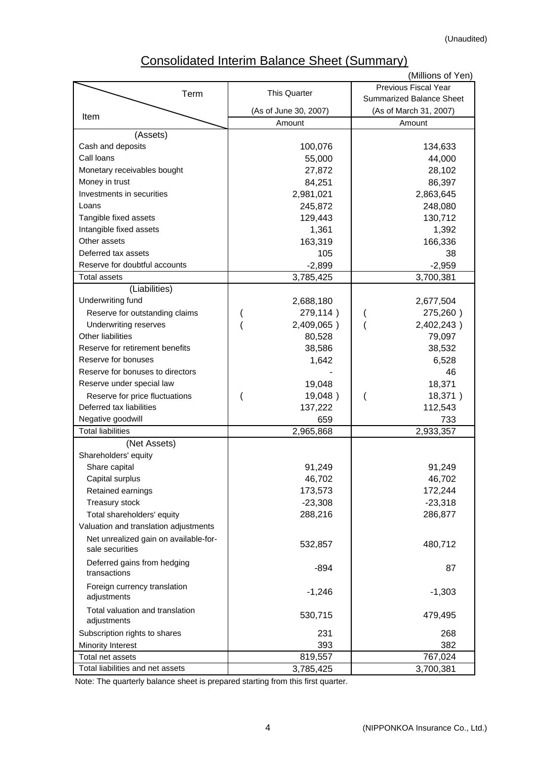# Consolidated Interim Balance Sheet (Summary)

|                                                          |                       | (Millions of Yen)               |
|----------------------------------------------------------|-----------------------|---------------------------------|
| Term                                                     | <b>This Quarter</b>   | Previous Fiscal Year            |
|                                                          |                       | <b>Summarized Balance Sheet</b> |
| Item                                                     | (As of June 30, 2007) | (As of March 31, 2007)          |
|                                                          | Amount                | Amount                          |
| (Assets)                                                 |                       |                                 |
| Cash and deposits                                        | 100,076               | 134,633                         |
| Call loans                                               | 55,000                | 44,000                          |
| Monetary receivables bought                              | 27,872                | 28,102                          |
| Money in trust                                           | 84,251                | 86,397                          |
| Investments in securities                                | 2,981,021             | 2,863,645                       |
| Loans                                                    | 245,872               | 248,080                         |
| Tangible fixed assets                                    | 129,443               | 130,712                         |
| Intangible fixed assets                                  | 1,361                 | 1,392                           |
| Other assets                                             | 163,319               | 166,336                         |
| Deferred tax assets                                      | 105                   | 38                              |
| Reserve for doubtful accounts                            | $-2,899$              | $-2,959$                        |
| <b>Total assets</b>                                      | 3,785,425             | 3,700,381                       |
| (Liabilities)                                            |                       |                                 |
| Underwriting fund                                        | 2,688,180             | 2,677,504                       |
| Reserve for outstanding claims                           | 279,114)              | 275,260)                        |
| Underwriting reserves                                    | 2,409,065)            | 2,402,243)                      |
| Other liabilities                                        | 80,528                | 79,097                          |
| Reserve for retirement benefits                          | 38,586                | 38,532                          |
| Reserve for bonuses                                      | 1,642                 | 6,528                           |
| Reserve for bonuses to directors                         |                       | 46                              |
| Reserve under special law                                | 19,048                | 18,371                          |
| Reserve for price fluctuations                           | 19,048)               | 18,371)                         |
| Deferred tax liabilities                                 | 137,222               | 112,543                         |
| Negative goodwill                                        | 659                   | 733                             |
| <b>Total liabilities</b>                                 | 2,965,868             | 2,933,357                       |
| (Net Assets)                                             |                       |                                 |
| Shareholders' equity                                     |                       |                                 |
| Share capital                                            | 91,249                | 91,249                          |
| Capital surplus                                          | 46,702                | 46,702                          |
| Retained earnings                                        | 173,573               | 172,244                         |
| Treasury stock                                           | $-23,308$             | $-23,318$                       |
| Total shareholders' equity                               | 288,216               | 286,877                         |
| Valuation and translation adjustments                    |                       |                                 |
| Net unrealized gain on available-for-<br>sale securities | 532,857               | 480,712                         |
| Deferred gains from hedging<br>transactions              | $-894$                | 87                              |
| Foreign currency translation<br>adjustments              | $-1,246$              | $-1,303$                        |
| Total valuation and translation<br>adjustments           | 530,715               | 479,495                         |
| Subscription rights to shares                            | 231                   | 268                             |
| Minority Interest                                        | 393                   | 382                             |
| Total net assets                                         | 819,557               | 767,024                         |
| Total liabilities and net assets                         | 3,785,425             | 3,700,381                       |

Note: The quarterly balance sheet is prepared starting from this first quarter.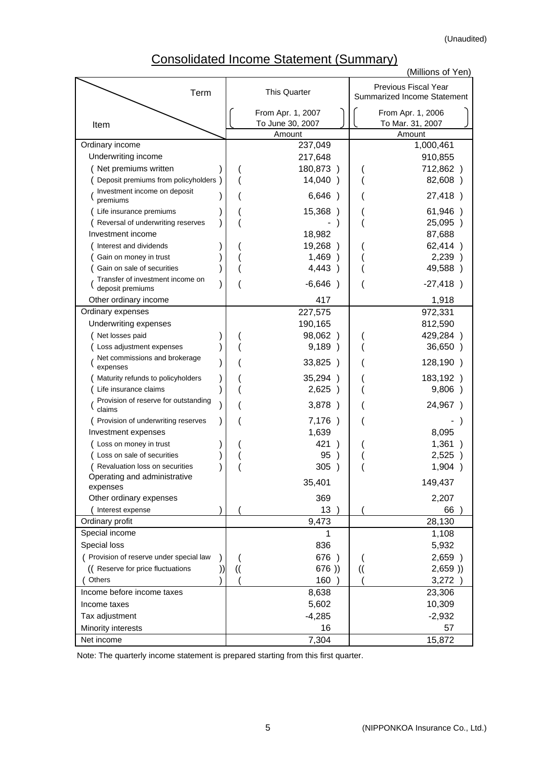(Unaudited)

# Consolidated Income Statement (Summary)

|                                                      |   |               | י זויטוווספר וויסטוווט שנמנטוווטווג   |               | (Millions of Yen)                                   |
|------------------------------------------------------|---|---------------|---------------------------------------|---------------|-----------------------------------------------------|
| Term                                                 |   |               | <b>This Quarter</b>                   |               | Previous Fiscal Year<br>Summarized Income Statement |
| Item                                                 |   |               | From Apr. 1, 2007<br>To June 30, 2007 |               | From Apr. 1, 2006<br>To Mar. 31, 2007               |
|                                                      |   |               | Amount                                |               | Amount                                              |
| Ordinary income                                      |   |               | 237,049                               |               | 1,000,461                                           |
| Underwriting income                                  |   |               | 217,648                               |               | 910,855                                             |
| Net premiums written                                 |   |               | 180,873)                              |               | 712,862)                                            |
| Deposit premiums from policyholders )                |   |               | 14,040)                               |               | 82,608)                                             |
| Investment income on deposit<br>premiums             |   |               | 6,646)                                |               | 27,418)                                             |
| Life insurance premiums                              |   |               | 15,368<br>$\lambda$                   |               | 61,946)                                             |
| Reversal of underwriting reserves                    |   |               |                                       |               | 25,095)                                             |
| Investment income                                    |   |               | 18,982                                |               | 87,688                                              |
| Interest and dividends                               |   |               | 19,268)                               |               | 62,414)                                             |
| Gain on money in trust                               |   |               | 1,469)                                |               | 2,239)                                              |
| Gain on sale of securities                           |   |               | 4,443)                                |               | 49,588)                                             |
| Transfer of investment income on<br>deposit premiums |   |               | $-6,646)$                             |               | $-27,418)$                                          |
| Other ordinary income                                |   |               | 417                                   |               | 1,918                                               |
| Ordinary expenses                                    |   |               | 227,575                               |               | 972,331                                             |
| Underwriting expenses                                |   |               | 190,165                               |               | 812,590                                             |
| Net losses paid                                      |   |               | 98,062)                               |               | 429,284)                                            |
| Loss adjustment expenses                             |   |               | 9,189)                                |               | 36,650)                                             |
| Net commissions and brokerage<br>expenses            |   |               | 33,825 )                              |               | 128,190)                                            |
| Maturity refunds to policyholders                    |   |               | 35,294<br>$\lambda$                   |               | 183,192)                                            |
| Life insurance claims                                |   |               | 2,625)                                |               | 9,806)                                              |
| Provision of reserve for outstanding<br>claims       |   |               | 3,878<br>$\rightarrow$                |               | 24,967)                                             |
| Provision of underwriting reserves                   |   |               | 7,176<br>$\rightarrow$                |               |                                                     |
| Investment expenses                                  |   |               | 1,639                                 |               | 8,095                                               |
| Loss on money in trust                               |   |               | 421                                   |               | 1,361                                               |
| Loss on sale of securities                           |   |               | 95                                    |               | 2,525                                               |
| (Revaluation loss on securities                      |   |               | 305)                                  |               | 1,904 )                                             |
| Operating and administrative                         |   |               | 35,401                                |               | 149,437                                             |
| expenses<br>Other ordinary expenses                  |   |               | 369                                   |               | 2,207                                               |
| Interest expense                                     |   |               | 13                                    |               | 66                                                  |
| Ordinary profit                                      |   |               | 9,473                                 |               | 28,130                                              |
| Special income                                       |   |               | 1                                     |               | 1,108                                               |
| <b>Special loss</b>                                  |   |               | 836                                   |               | 5,932                                               |
| ( Provision of reserve under special law             |   |               | 676)                                  |               | 2,659)                                              |
| (( Reserve for price fluctuations                    | ) | $\mathcal{U}$ | 676)                                  | $\mathcal{U}$ | 2,659)                                              |
| Others                                               |   |               | 160                                   |               | 3,272                                               |
| Income before income taxes                           |   |               | 8,638                                 |               | 23,306                                              |
| Income taxes                                         |   |               | 5,602                                 |               | 10,309                                              |
| Tax adjustment                                       |   |               | $-4,285$                              |               | $-2,932$                                            |
| Minority interests                                   |   |               | 16                                    |               | 57                                                  |
| Net income                                           |   |               | 7,304                                 |               | 15,872                                              |

Note: The quarterly income statement is prepared starting from this first quarter.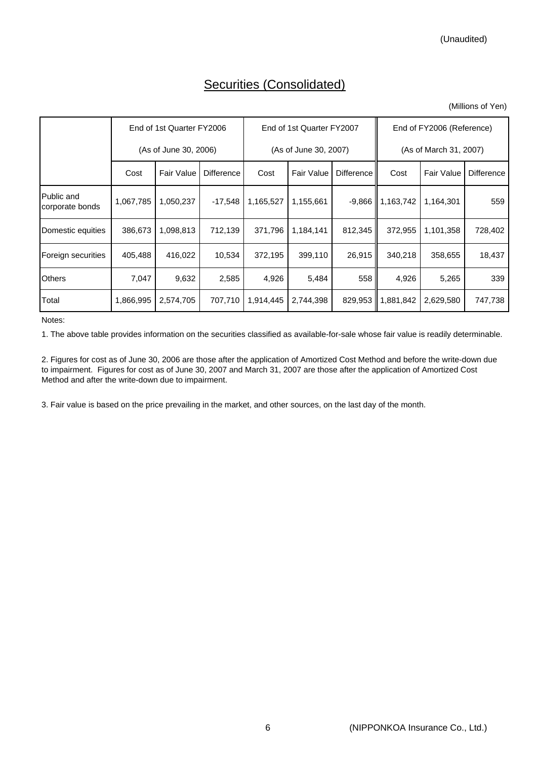### Securities (Consolidated)

|                               |                       | End of 1st Quarter FY2006 |                   |           | End of 1st Quarter FY2007 |            | End of FY2006 (Reference) |                   |                   |  |
|-------------------------------|-----------------------|---------------------------|-------------------|-----------|---------------------------|------------|---------------------------|-------------------|-------------------|--|
|                               | (As of June 30, 2006) |                           |                   |           | (As of June 30, 2007)     |            | (As of March 31, 2007)    |                   |                   |  |
|                               | Cost                  | <b>Fair Value</b>         | <b>Difference</b> | Cost      | <b>Fair Value</b>         | Difference | Cost                      | <b>Fair Value</b> | <b>Difference</b> |  |
| Public and<br>corporate bonds | 1,067,785             | 1,050,237                 | $-17,548$         | 1,165,527 | 1,155,661                 | -9,866     | 1,163,742                 | 1,164,301         | 559               |  |
| Domestic equities             | 386,673               | 1,098,813                 | 712,139           | 371,796   | 1,184,141                 | 812,345    | 372,955                   | 1,101,358         | 728,402           |  |
| Foreign securities            | 405,488               | 416,022                   | 10,534            | 372,195   | 399,110                   | 26,915     | 340,218                   | 358,655           | 18,437            |  |
| <b>Others</b>                 | 7,047                 | 9,632                     | 2,585             | 4,926     | 5,484                     | 558        | 4,926                     | 5,265             | 339               |  |
| Total                         | 1,866,995             | 2,574,705                 | 707,710           | 1,914,445 | 2,744,398                 | 829,953    | 1,881,842                 | 2,629,580         | 747,738           |  |

Notes:

1. The above table provides information on the securities classified as available-for-sale whose fair value is readily determinable.

2. Figures for cost as of June 30, 2006 are those after the application of Amortized Cost Method and before the write-down due to impairment. Figures for cost as of June 30, 2007 and March 31, 2007 are those after the application of Amortized Cost Method and after the write-down due to impairment.

3. Fair value is based on the price prevailing in the market, and other sources, on the last day of the month.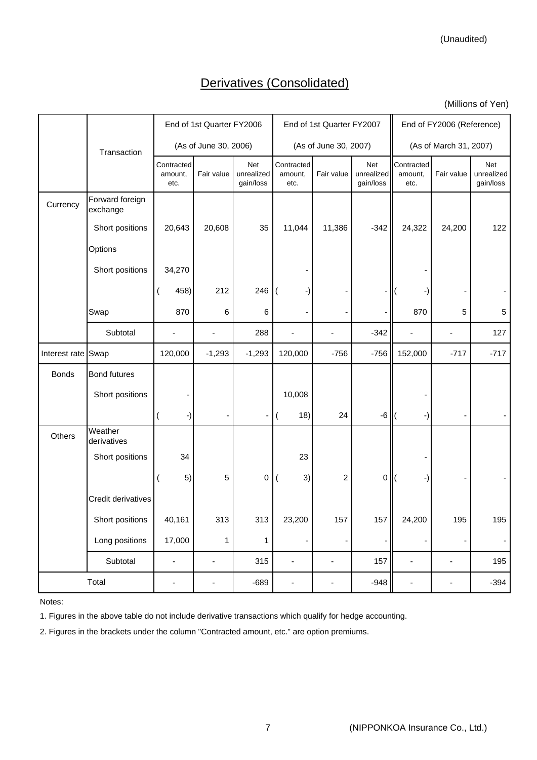(Unaudited)

### Derivatives (Consolidated)

(Millions of Yen)

|                    |                             |                               | End of 1st Quarter FY2006 |                                |                               | End of 1st Quarter FY2007    |                                | End of FY2006 (Reference)     |                |                                |  |
|--------------------|-----------------------------|-------------------------------|---------------------------|--------------------------------|-------------------------------|------------------------------|--------------------------------|-------------------------------|----------------|--------------------------------|--|
|                    | Transaction                 |                               | (As of June 30, 2006)     |                                |                               | (As of June 30, 2007)        |                                | (As of March 31, 2007)        |                |                                |  |
|                    |                             | Contracted<br>amount,<br>etc. | Fair value                | Net<br>unrealized<br>gain/loss | Contracted<br>amount,<br>etc. | Fair value                   | Net<br>unrealized<br>gain/loss | Contracted<br>amount,<br>etc. | Fair value     | Net<br>unrealized<br>gain/loss |  |
| Currency           | Forward foreign<br>exchange |                               |                           |                                |                               |                              |                                |                               |                |                                |  |
|                    | Short positions             | 20,643                        | 20,608                    | 35                             | 11,044                        | 11,386                       | $-342$                         | 24,322                        | 24,200         | 122                            |  |
|                    | Options                     |                               |                           |                                |                               |                              |                                |                               |                |                                |  |
|                    | Short positions             | 34,270                        |                           |                                |                               |                              |                                |                               |                |                                |  |
|                    |                             | 458)                          | 212                       | 246                            | -1                            |                              |                                |                               |                |                                |  |
|                    | Swap                        | 870                           | 6                         | 6                              |                               |                              |                                | 870                           | 5              | 5                              |  |
|                    | Subtotal                    |                               |                           | 288                            | $\blacksquare$                |                              | $-342$                         |                               | $\blacksquare$ | 127                            |  |
| Interest rate Swap |                             | 120,000                       | $-1,293$                  | $-1,293$                       | 120,000                       | $-756$                       | $-756$                         | 152,000                       | $-717$         | $-717$                         |  |
| <b>Bonds</b>       | <b>Bond futures</b>         |                               |                           |                                |                               |                              |                                |                               |                |                                |  |
|                    | Short positions             |                               |                           |                                | 10,008                        |                              |                                |                               |                |                                |  |
|                    |                             | -)                            |                           |                                | 18)                           | 24                           | $-6$                           | -)                            |                |                                |  |
| Others             | Weather<br>derivatives      |                               |                           |                                |                               |                              |                                |                               |                |                                |  |
|                    | Short positions             | 34                            |                           |                                | 23                            |                              |                                |                               |                |                                |  |
|                    |                             | 5)                            | 5                         | 0                              | 3)                            | 2                            | 0                              | -)                            |                |                                |  |
|                    | Credit derivatives          |                               |                           |                                |                               |                              |                                |                               |                |                                |  |
|                    | Short positions             | 40,161                        | 313                       | 313                            | 23,200                        | 157                          | 157                            | 24,200                        | 195            | 195                            |  |
|                    | Long positions              | 17,000                        | $\mathbf{1}$              | 1                              | -                             | $\qquad \qquad \blacksquare$ |                                | -                             | -              |                                |  |
|                    | Subtotal                    | ä,                            |                           | 315                            | $\blacksquare$                | ä,                           | 157                            | ÷,                            | ä,             | 195                            |  |
|                    | Total                       | $\blacksquare$                | $\blacksquare$            | $-689$                         | $\overline{\phantom{a}}$      | $\blacksquare$               | $-948$                         | $\blacksquare$                | $\blacksquare$ | $-394$                         |  |

Notes:

1. Figures in the above table do not include derivative transactions which qualify for hedge accounting.

2. Figures in the brackets under the column "Contracted amount, etc." are option premiums.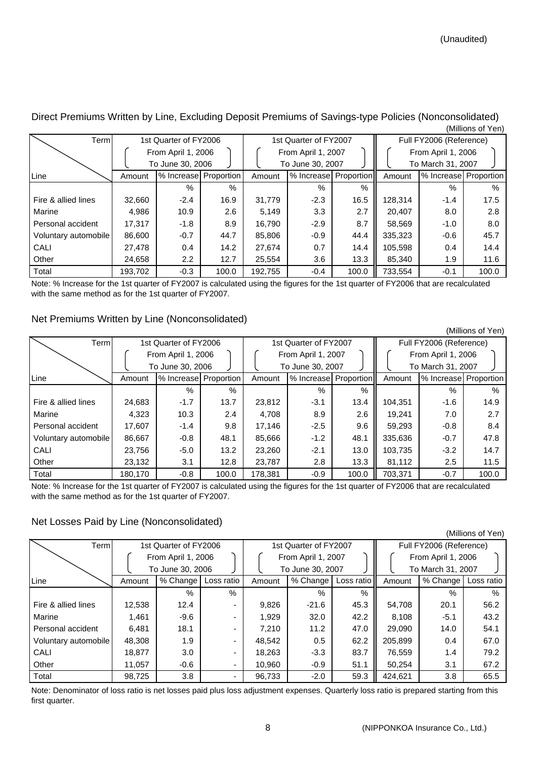| Terml                |         | 1st Quarter of FY2006 |       |         | 1st Quarter of FY2007 |       | Full FY2006 (Reference) |                       |       |  |
|----------------------|---------|-----------------------|-------|---------|-----------------------|-------|-------------------------|-----------------------|-------|--|
|                      |         | From April 1, 2006    |       |         | From April 1, 2007    |       | From April 1, 2006      |                       |       |  |
|                      |         | To June 30, 2006      |       |         | To June 30, 2007      |       |                         | To March 31, 2007     |       |  |
| Line                 | Amount  | % Increase Proportion |       | Amount  | % Increase Proportion |       | Amount                  | % Increase Proportion |       |  |
|                      |         | $\%$                  | $\%$  |         | %                     | %     |                         | $\%$                  | $\%$  |  |
| Fire & allied lines  | 32.660  | $-2.4$                | 16.9  | 31,779  | $-2.3$                | 16.5  | 128,314                 | $-1.4$                | 17.5  |  |
| Marine               | 4,986   | 10.9                  | 2.6   | 5.149   | 3.3                   | 2.7   | 20,407                  | 8.0                   | 2.8   |  |
| Personal accident    | 17.317  | $-1.8$                | 8.9   | 16.790  | $-2.9$                | 8.7   | 58,569                  | $-1.0$                | 8.0   |  |
| Voluntary automobile | 86,600  | $-0.7$                | 44.7  | 85,806  | $-0.9$                | 44.4  | 335,323                 | $-0.6$                | 45.7  |  |
| CALI                 | 27,478  | 0.4                   | 14.2  | 27.674  | 0.7                   | 14.4  | 105,598                 | 0.4                   | 14.4  |  |
| Other                | 24,658  | $2.2\phantom{0}$      | 12.7  | 25,554  | 3.6                   | 13.3  | 85,340                  | 1.9                   | 11.6  |  |
| Total                | 193,702 | $-0.3$                | 100.0 | 192,755 | $-0.4$                | 100.0 | 733,554                 | $-0.1$                | 100.0 |  |

Direct Premiums Written by Line, Excluding Deposit Premiums of Savings-type Policies (Nonconsolidated) (Millions of Yen)

Note: % Increase for the 1st quarter of FY2007 is calculated using the figures for the 1st quarter of FY2006 that are recalculated with the same method as for the 1st quarter of FY2007.

#### Net Premiums Written by Line (Nonconsolidated)

(Millions of Yen) Term 1st Quarter of FY2006 1st Quarter of FY2007 Full FY2006 (Reference) From April 1, 2006  $\begin{bmatrix} 1 & 1 & 2006 \\ 1 & 1 & 2006 \end{bmatrix}$  From April 1, 2006 To June 30, 2006  $\left.\begin{array}{ccc} \end{array}\right|$   $\left.\begin{array}{ccc} \end{array}\right|$  To June 30, 2007  $\left.\begin{array}{ccc} \end{array}\right|$   $\left.\begin{array}{ccc} \end{array}\right|$  To March 31, 2007 Line Amount |% Increase Proportion | Amount |% Increase Proportion | Amount %% %% %% Fire & allied lines 24,683 -1.7 13.7 23,812 -3.1 13.4 104,351 -1.6 14.9 Marine 14,323 | 10.3 | 2.4 | 4,708 | 8.9 | 2.6 || 19,241 | 7.0 | 2.7 Personal accident | 17,607 | -1.4 | 9.8 | 17,146 | -2.5 | 9.6 || 59,293 | -0.8 | 8.4 Voluntary automobile 86,667 -0.8 48.1 85,666 -1.2 48.1 335,636 -0.7 47.8 CALI 23,756 -5.0 13.2 23,260 -2.1 13.0 103,735 -3.2 14.7 Other 23,132 3.1 12.8 23,787 2.8 3.3 81,112 2.5 11.5 Total 180,170 -0.8 100.0 178,381 -0.9 100.0 703,371 -0.7 100.0 % Increase Proportion % Increase Proportion | Amount % Increase

Note: % Increase for the 1st quarter of FY2007 is calculated using the figures for the 1st quarter of FY2006 that are recalculated with the same method as for the 1st quarter of FY2007.

### Net Losses Paid by Line (Nonconsolidated)

| Terml                |        | 1st Quarter of FY2006 |                          |        | 1st Quarter of FY2007 |            | Full FY2006 (Reference) |                   |            |  |
|----------------------|--------|-----------------------|--------------------------|--------|-----------------------|------------|-------------------------|-------------------|------------|--|
|                      |        | From April 1, 2006    |                          |        | From April 1, 2007    |            | From April 1, 2006      |                   |            |  |
|                      |        | To June 30, 2006      |                          |        | To June 30, 2007      |            |                         | To March 31, 2007 |            |  |
| Line                 | Amount | % Change              | Loss ratio               | Amount | % Change              | Loss ratio | Amount                  | % Change          | Loss ratio |  |
|                      |        | %                     | $\%$                     |        | $\%$                  | $\%$       |                         | $\%$              | $\%$       |  |
| Fire & allied lines  | 12,538 | 12.4                  | $\overline{\phantom{0}}$ | 9,826  | $-21.6$               | 45.3       | 54,708                  | 20.1              | 56.2       |  |
| Marine               | 1.461  | $-9.6$                |                          | 1.929  | 32.0                  | 42.2       | 8.108                   | $-5.1$            | 43.2       |  |
| Personal accident    | 6,481  | 18.1                  | $\overline{\phantom{0}}$ | 7.210  | 11.2                  | 47.0       | 29,090                  | 14.0              | 54.1       |  |
| Voluntary automobile | 48.308 | 1.9                   | ٠                        | 48,542 | 0.5                   | 62.2       | 205,899                 | 0.4               | 67.0       |  |
| CALI                 | 18,877 | 3.0                   | ۰                        | 18,263 | $-3.3$                | 83.7       | 76,559                  | 1.4               | 79.2       |  |
| Other                | 11.057 | $-0.6$                | ۰                        | 10,960 | $-0.9$                | 51.1       | 50,254                  | 3.1               | 67.2       |  |
| Total                | 98.725 | 3.8                   |                          | 96,733 | $-2.0$                | 59.3       | 424.621                 | 3.8               | 65.5       |  |

Note: Denominator of loss ratio is net losses paid plus loss adjustment expenses. Quarterly loss ratio is prepared starting from this first quarter.

(Millions of Yen)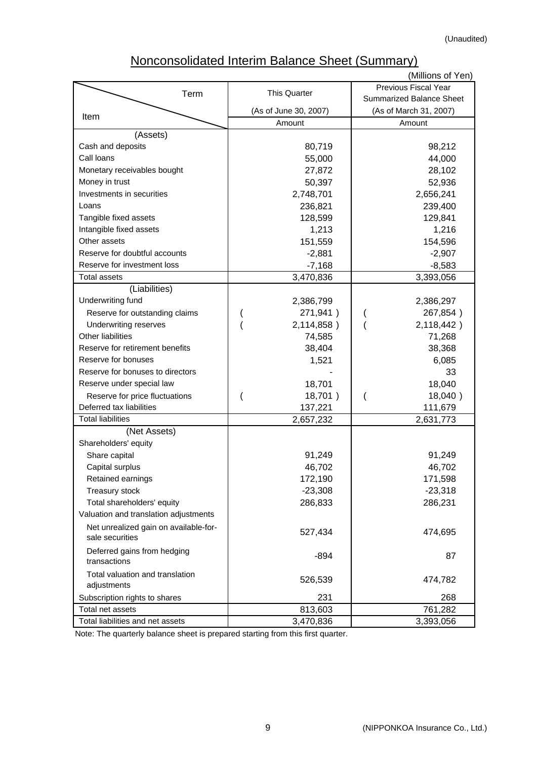# Nonconsolidated Interim Balance Sheet (Summary)

|                                       |                       | (Millions of Yen)               |
|---------------------------------------|-----------------------|---------------------------------|
| Term                                  | This Quarter          | Previous Fiscal Year            |
|                                       |                       | <b>Summarized Balance Sheet</b> |
| Item                                  | (As of June 30, 2007) | (As of March 31, 2007)          |
|                                       | Amount                | Amount                          |
| (Assets)                              |                       |                                 |
| Cash and deposits                     | 80,719                | 98,212                          |
| Call loans                            | 55,000                | 44,000                          |
| Monetary receivables bought           | 27,872                | 28,102                          |
| Money in trust                        | 50,397                | 52,936                          |
| Investments in securities             | 2,748,701             | 2,656,241                       |
| Loans                                 | 236,821               | 239,400                         |
| Tangible fixed assets                 | 128,599               | 129,841                         |
| Intangible fixed assets               | 1,213                 | 1,216                           |
| Other assets                          | 151,559               | 154,596                         |
| Reserve for doubtful accounts         | $-2,881$              | $-2,907$                        |
| Reserve for investment loss           | $-7,168$              | $-8,583$                        |
| <b>Total assets</b>                   | 3,470,836             | 3,393,056                       |
| (Liabilities)                         |                       |                                 |
| Underwriting fund                     | 2,386,799             | 2,386,297                       |
| Reserve for outstanding claims        | 271,941)              | 267,854)                        |
| <b>Underwriting reserves</b>          | 2,114,858)            | 2,118,442)                      |
| Other liabilities                     | 74,585                | 71,268                          |
| Reserve for retirement benefits       | 38,404                | 38,368                          |
| Reserve for bonuses                   | 1,521                 | 6,085                           |
| Reserve for bonuses to directors      |                       | 33                              |
| Reserve under special law             | 18,701                | 18,040                          |
| Reserve for price fluctuations        | 18,701)<br>∖          | 18,040)                         |
| Deferred tax liabilities              | 137,221               | 111,679                         |
| <b>Total liabilities</b>              | 2,657,232             | 2,631,773                       |
| (Net Assets)                          |                       |                                 |
| Shareholders' equity                  |                       |                                 |
| Share capital                         | 91,249                | 91,249                          |
| Capital surplus                       | 46,702                | 46,702                          |
| Retained earnings                     | 172,190               | 171,598                         |
| Treasury stock                        | $-23,308$             | $-23,318$                       |
| Total shareholders' equity            | 286,833               | 286,231                         |
| Valuation and translation adjustments |                       |                                 |
| Net unrealized gain on available-for- |                       |                                 |
| sale securities                       | 527,434               | 474,695                         |
| Deferred gains from hedging           |                       |                                 |
| transactions                          | $-894$                | 87                              |
| Total valuation and translation       | 526,539               |                                 |
| adjustments                           |                       | 474,782                         |
| Subscription rights to shares         | 231                   | 268                             |
| Total net assets                      | 813,603               | 761,282                         |
| Total liabilities and net assets      | 3,470,836             | 3,393,056                       |

Note: The quarterly balance sheet is prepared starting from this first quarter.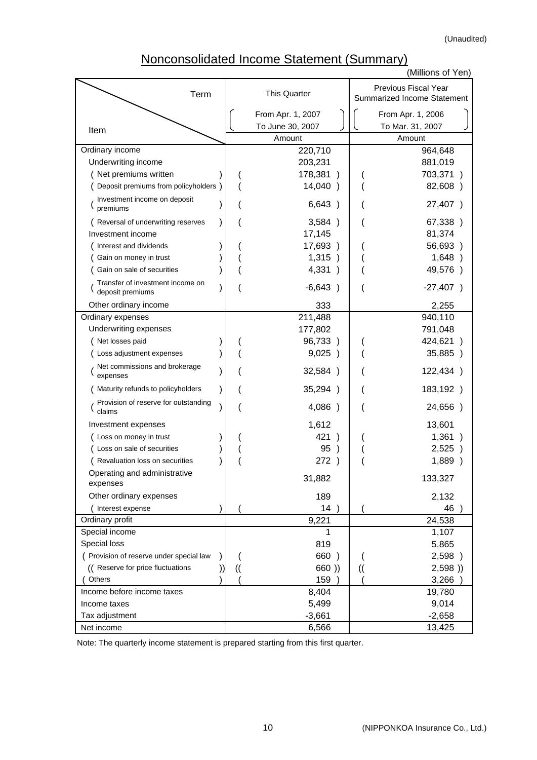(Unaudited)

## Nonconsolidated Income Statement (Summary)

|                                                      |               |                            |    | (Millions of Yen)                                          |
|------------------------------------------------------|---------------|----------------------------|----|------------------------------------------------------------|
| Term                                                 |               | <b>This Quarter</b>        |    | <b>Previous Fiscal Year</b><br>Summarized Income Statement |
|                                                      |               | From Apr. 1, 2007          |    | From Apr. 1, 2006                                          |
| Item                                                 |               | To June 30, 2007<br>Amount |    | To Mar. 31, 2007<br>Amount                                 |
| Ordinary income                                      |               | 220,710                    |    | 964,648                                                    |
| Underwriting income                                  |               | 203,231                    |    | 881,019                                                    |
| Net premiums written                                 |               | 178,381                    |    | 703,371                                                    |
| Deposit premiums from policyholders )                |               | 14,040)                    |    | 82,608)                                                    |
| Investment income on deposit<br>premiums             |               | 6,643)                     |    | 27,407)                                                    |
| Reversal of underwriting reserves                    |               | 3,584)                     |    | 67,338)                                                    |
| Investment income                                    |               | 17,145                     |    | 81,374                                                     |
| Interest and dividends                               |               | 17,693)                    |    | 56,693)                                                    |
| Gain on money in trust                               |               | 1,315)                     |    | 1,648)                                                     |
| Gain on sale of securities                           |               | 4,331<br>$\rightarrow$     |    | 49,576)                                                    |
| Transfer of investment income on<br>deposit premiums |               | $-6,643)$                  |    | $-27,407$ )                                                |
| Other ordinary income                                |               | 333                        |    | 2,255                                                      |
| Ordinary expenses                                    |               | 211,488                    |    | 940,110                                                    |
| Underwriting expenses                                |               | 177,802                    |    | 791,048                                                    |
| Net losses paid                                      |               | 96,733)                    |    | 424,621)                                                   |
| Loss adjustment expenses                             |               | 9,025)                     |    | 35,885 )                                                   |
| Net commissions and brokerage<br>expenses            |               | 32,584)                    |    | 122,434)                                                   |
| Maturity refunds to policyholders                    |               | 35,294 )                   |    | 183,192)                                                   |
| Provision of reserve for outstanding<br>claims       |               | 4,086<br>$\lambda$         |    | 24,656)                                                    |
| Investment expenses                                  |               | 1,612                      |    | 13,601                                                     |
| Loss on money in trust                               |               | 421                        |    | 1,361                                                      |
| Loss on sale of securities                           |               | 95                         |    | 2,525                                                      |
| Revaluation loss on securities                       |               | 272                        |    | 1,889                                                      |
| Operating and administrative<br>expenses             |               | 31,882                     |    | 133,327                                                    |
| Other ordinary expenses                              |               | 189                        |    | 2,132                                                      |
| Interest expense                                     |               | 14                         |    | 46                                                         |
| Ordinary profit                                      |               | 9,221                      |    | 24,538                                                     |
| Special income                                       |               | 1                          |    | 1,107                                                      |
| Special loss                                         |               | 819                        |    | 5,865                                                      |
| ( Provision of reserve under special law             |               | 660)                       |    | 2,598 )                                                    |
| (( Reserve for price fluctuations                    | $\mathcal{U}$ | 660))                      | (( | 2,598)                                                     |
| Others                                               |               | 159                        |    | 3,266                                                      |
| Income before income taxes                           |               | 8,404                      |    | 19,780                                                     |
| Income taxes                                         |               | 5,499                      |    | 9,014                                                      |
| Tax adjustment                                       |               | $-3,661$                   |    | $-2,658$                                                   |
| Net income                                           |               | 6,566                      |    | 13,425                                                     |

Note: The quarterly income statement is prepared starting from this first quarter.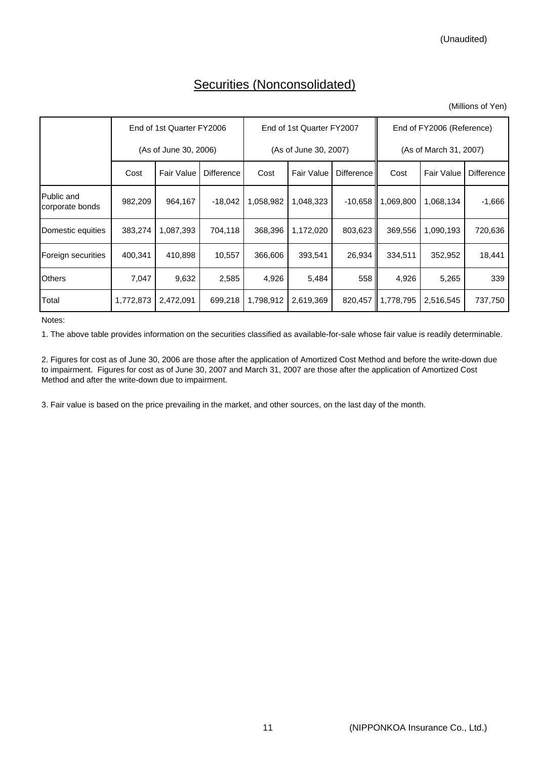### Securities (Nonconsolidated)

(Millions of Yen)

|                               |                       | End of 1st Quarter FY2006 |                   |           | End of 1st Quarter FY2007 |            | End of FY2006 (Reference) |                   |                   |  |
|-------------------------------|-----------------------|---------------------------|-------------------|-----------|---------------------------|------------|---------------------------|-------------------|-------------------|--|
|                               | (As of June 30, 2006) |                           |                   |           | (As of June 30, 2007)     |            | (As of March 31, 2007)    |                   |                   |  |
|                               | Cost                  | <b>Fair Value</b>         | <b>Difference</b> | Cost      | <b>Fair Value</b>         | Difference | Cost                      | <b>Fair Value</b> | <b>Difference</b> |  |
| Public and<br>corporate bonds | 982,209               | 964,167                   | $-18,042$         | 1,058,982 | 1,048,323                 | $-10,658$  | 1,069,800                 | 1,068,134         | $-1,666$          |  |
| Domestic equities             | 383,274               | 1,087,393                 | 704,118           | 368,396   | 1,172,020                 | 803,623    | 369,556                   | 1,090,193         | 720,636           |  |
| Foreign securities            | 400.341               | 410,898                   | 10.557            | 366,606   | 393,541                   | 26,934     | 334.511                   | 352,952           | 18,441            |  |
| <b>Others</b>                 | 7,047                 | 9,632                     | 2,585             | 4,926     | 5,484                     | 558        | 4,926                     | 5,265             | 339               |  |
| Total                         | 1,772,873             | 2,472,091                 | 699,218           | 1,798,912 | 2,619,369                 | 820,457    | 1,778,795                 | 2,516,545         | 737,750           |  |

Notes:

1. The above table provides information on the securities classified as available-for-sale whose fair value is readily determinable.

2. Figures for cost as of June 30, 2006 are those after the application of Amortized Cost Method and before the write-down due to impairment. Figures for cost as of June 30, 2007 and March 31, 2007 are those after the application of Amortized Cost Method and after the write-down due to impairment.

3. Fair value is based on the price prevailing in the market, and other sources, on the last day of the month.